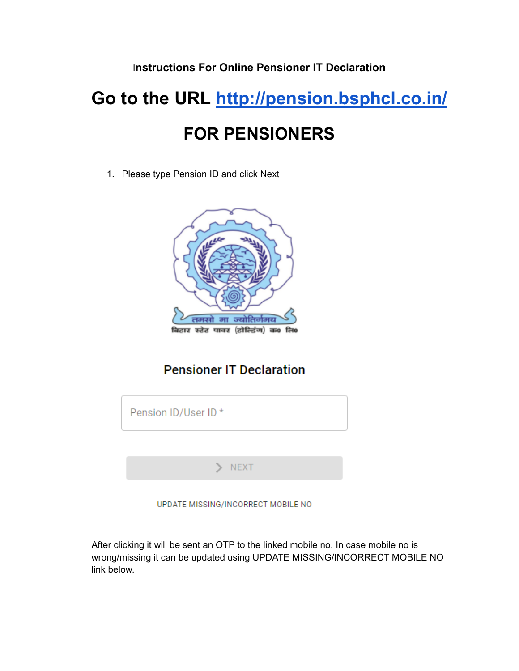### I**nstructions For Online Pensioner IT Declaration**

# **Go to the URL <http://pension.bsphcl.co.in/> FOR PENSIONERS**

1. Please type Pension ID and click Next



# **Pensioner IT Declaration**

| Pension ID/User ID* |
|---------------------|
|                     |
| <b>NEXT</b>         |
|                     |

UPDATE MISSING/INCORRECT MOBILE NO

After clicking it will be sent an OTP to the linked mobile no. In case mobile no is wrong/missing it can be updated using UPDATE MISSING/INCORRECT MOBILE NO link below.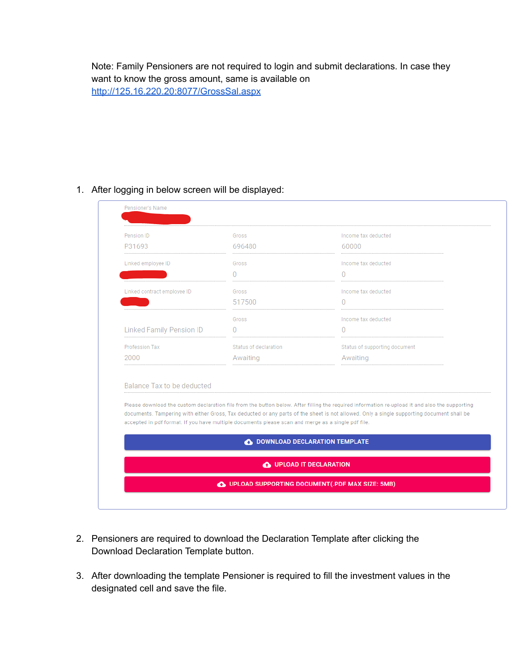Note: Family Pensioners are not required to login and submit declarations. In case they want to know the gross amount, same is available on <http://125.16.220.20:8077/GrossSal.aspx>

#### 1. After logging in below screen will be displayed:

| Pension ID<br>P31693            | Gross<br>696480                                                                                    | Income tax deducted<br>60000                                                                                                                                                                                                                                                                |  |
|---------------------------------|----------------------------------------------------------------------------------------------------|---------------------------------------------------------------------------------------------------------------------------------------------------------------------------------------------------------------------------------------------------------------------------------------------|--|
|                                 |                                                                                                    |                                                                                                                                                                                                                                                                                             |  |
| Linked employee ID              | Gross<br>$\Omega$                                                                                  | Income tax deducted<br>$\Omega$                                                                                                                                                                                                                                                             |  |
|                                 |                                                                                                    |                                                                                                                                                                                                                                                                                             |  |
| Linked contract employee ID     | Gross                                                                                              | Income tax deducted                                                                                                                                                                                                                                                                         |  |
|                                 | 517500                                                                                             | $\Omega$                                                                                                                                                                                                                                                                                    |  |
|                                 | Gross                                                                                              | Income tax deducted                                                                                                                                                                                                                                                                         |  |
| <b>Linked Family Pension ID</b> | 0                                                                                                  | 0                                                                                                                                                                                                                                                                                           |  |
| Profession Tax                  | Status of declaration                                                                              | Status of supporting document                                                                                                                                                                                                                                                               |  |
| 2000                            | Awaiting                                                                                           | Awaiting                                                                                                                                                                                                                                                                                    |  |
| Balance Tax to be deducted      | accepted in pdf format. If you have multiple documents please scan and merge as a single pdf file. | Please download the custom declaration file from the button below. After filling the required information re-upload it and also the supporting<br>documents. Tampering with either Gross, Tax deducted or any parts of the sheet is not allowed. Only a single supporting document shall be |  |
|                                 | <b>C</b> DOWNLOAD DECLARATION TEMPLATE                                                             |                                                                                                                                                                                                                                                                                             |  |
|                                 | O UPLOAD IT DECLARATION                                                                            |                                                                                                                                                                                                                                                                                             |  |

- 2. Pensioners are required to download the Declaration Template after clicking the Download Declaration Template button.
- 3. After downloading the template Pensioner is required to fill the investment values in the designated cell and save the file.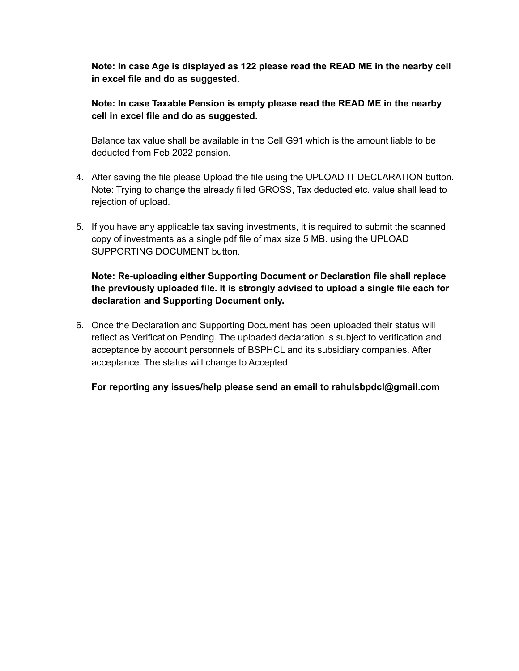**Note: In case Age is displayed as 122 please read the READ ME in the nearby cell in excel file and do as suggested.**

#### **Note: In case Taxable Pension is empty please read the READ ME in the nearby cell in excel file and do as suggested.**

Balance tax value shall be available in the Cell G91 which is the amount liable to be deducted from Feb 2022 pension.

- 4. After saving the file please Upload the file using the UPLOAD IT DECLARATION button. Note: Trying to change the already filled GROSS, Tax deducted etc. value shall lead to rejection of upload.
- 5. If you have any applicable tax saving investments, it is required to submit the scanned copy of investments as a single pdf file of max size 5 MB. using the UPLOAD SUPPORTING DOCUMENT button.

#### **Note: Re-uploading either Supporting Document or Declaration file shall replace the previously uploaded file. It is strongly advised to upload a single file each for declaration and Supporting Document only.**

6. Once the Declaration and Supporting Document has been uploaded their status will reflect as Verification Pending. The uploaded declaration is subject to verification and acceptance by account personnels of BSPHCL and its subsidiary companies. After acceptance. The status will change to Accepted.

**For reporting any issues/help please send an email to rahulsbpdcl@gmail.com**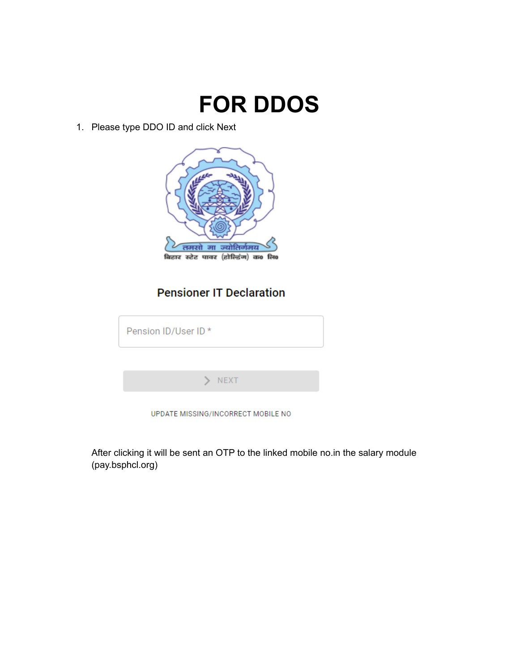

1. Please type DDO ID and click Next



## **Pensioner IT Declaration**

| Pension ID/User ID *               |
|------------------------------------|
|                                    |
| <b>NEXT</b>                        |
| UPDATE MISSING/INCORRECT MOBILE NO |

After clicking it will be sent an OTP to the linked mobile no.in the salary module (pay.bsphcl.org)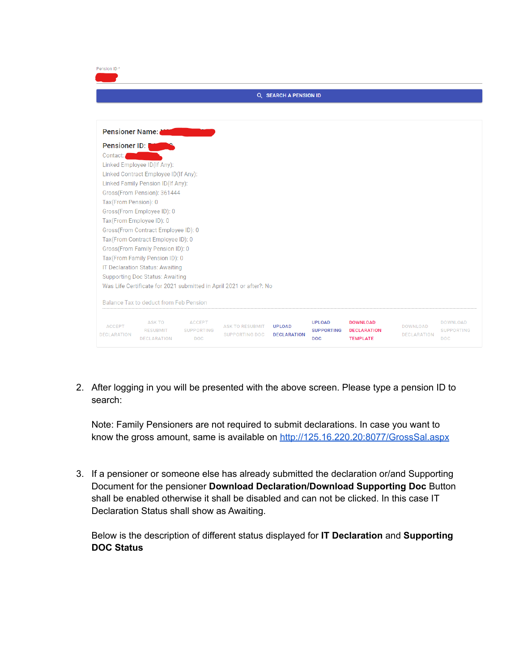| Pension ID*                         |                                                 |                                                  |                                                                     |                                     |                                                  |                                                          |                                       |                                             |  |  |
|-------------------------------------|-------------------------------------------------|--------------------------------------------------|---------------------------------------------------------------------|-------------------------------------|--------------------------------------------------|----------------------------------------------------------|---------------------------------------|---------------------------------------------|--|--|
| <b>Q SEARCH A PENSION ID</b>        |                                                 |                                                  |                                                                     |                                     |                                                  |                                                          |                                       |                                             |  |  |
|                                     |                                                 |                                                  |                                                                     |                                     |                                                  |                                                          |                                       |                                             |  |  |
|                                     | <b>Pensioner Name:</b>                          |                                                  |                                                                     |                                     |                                                  |                                                          |                                       |                                             |  |  |
| Pensioner ID:                       |                                                 |                                                  |                                                                     |                                     |                                                  |                                                          |                                       |                                             |  |  |
| Contact:                            |                                                 |                                                  |                                                                     |                                     |                                                  |                                                          |                                       |                                             |  |  |
|                                     | Linked Employee ID(If Any):                     |                                                  |                                                                     |                                     |                                                  |                                                          |                                       |                                             |  |  |
|                                     | Linked Contract Employee ID(If Any):            |                                                  |                                                                     |                                     |                                                  |                                                          |                                       |                                             |  |  |
|                                     | Linked Family Pension ID(If Any):               |                                                  |                                                                     |                                     |                                                  |                                                          |                                       |                                             |  |  |
|                                     | Gross(From Pension): 361444                     |                                                  |                                                                     |                                     |                                                  |                                                          |                                       |                                             |  |  |
| Tax(From Pension): 0                |                                                 |                                                  |                                                                     |                                     |                                                  |                                                          |                                       |                                             |  |  |
|                                     | Gross(From Employee ID): 0                      |                                                  |                                                                     |                                     |                                                  |                                                          |                                       |                                             |  |  |
| Tax(From Employee ID): 0            |                                                 |                                                  |                                                                     |                                     |                                                  |                                                          |                                       |                                             |  |  |
|                                     | Gross(From Contract Employee ID): 0             |                                                  |                                                                     |                                     |                                                  |                                                          |                                       |                                             |  |  |
|                                     | Tax(From Contract Employee ID): 0               |                                                  |                                                                     |                                     |                                                  |                                                          |                                       |                                             |  |  |
|                                     | Gross(From Family Pension ID): 0                |                                                  |                                                                     |                                     |                                                  |                                                          |                                       |                                             |  |  |
|                                     | Tax(From Family Pension ID): 0                  |                                                  |                                                                     |                                     |                                                  |                                                          |                                       |                                             |  |  |
|                                     | IT Declaration Status: Awaiting                 |                                                  |                                                                     |                                     |                                                  |                                                          |                                       |                                             |  |  |
|                                     | <b>Supporting Doc Status: Awaiting</b>          |                                                  |                                                                     |                                     |                                                  |                                                          |                                       |                                             |  |  |
|                                     |                                                 |                                                  | Was Life Certificate for 2021 submitted in April 2021 or after?: No |                                     |                                                  |                                                          |                                       |                                             |  |  |
|                                     | Balance Tax to deduct from Feb Pension          |                                                  |                                                                     |                                     |                                                  |                                                          |                                       |                                             |  |  |
| <b>ACCEPT</b><br><b>DECLARATION</b> | ASK TO<br><b>RESUBMIT</b><br><b>DECLARATION</b> | <b>ACCEPT</b><br><b>SUPPORTING</b><br><b>DOC</b> | <b>ASK TO RESUBMIT</b><br><b>SUPPORTING DOC</b>                     | <b>UPLOAD</b><br><b>DECLARATION</b> | <b>UPLOAD</b><br><b>SUPPORTING</b><br><b>DOC</b> | <b>DOWNLOAD</b><br><b>DECLARATION</b><br><b>TEMPLATE</b> | <b>DOWNLOAD</b><br><b>DECLARATION</b> | DOWNLOAD<br><b>SUPPORTING</b><br><b>DOC</b> |  |  |

2. After logging in you will be presented with the above screen. Please type a pension ID to search:

Note: Family Pensioners are not required to submit declarations. In case you want to know the gross amount, same is available on <http://125.16.220.20:8077/GrossSal.aspx>

3. If a pensioner or someone else has already submitted the declaration or/and Supporting Document for the pensioner **Download Declaration/Download Supporting Doc** Button shall be enabled otherwise it shall be disabled and can not be clicked. In this case IT Declaration Status shall show as Awaiting.

Below is the description of different status displayed for **IT Declaration** and **Supporting DOC Status**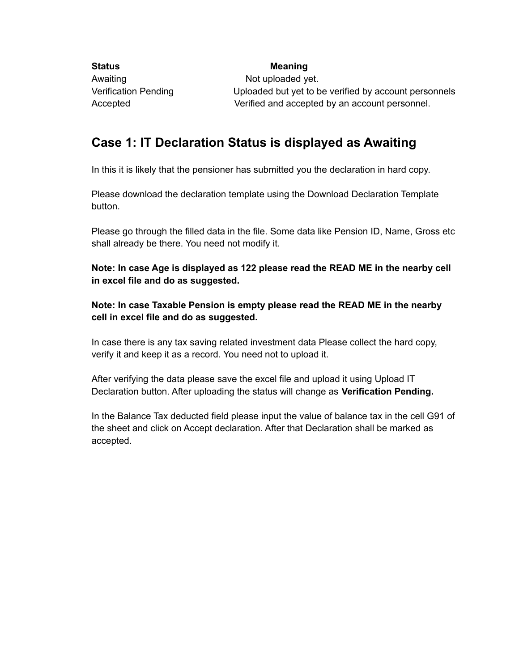**Status Meaning** Awaiting Not uploaded yet. Verification Pending Uploaded but yet to be verified by account personnels Accepted Verified and accepted by an account personnel.

## **Case 1: IT Declaration Status is displayed as Awaiting**

In this it is likely that the pensioner has submitted you the declaration in hard copy.

Please download the declaration template using the Download Declaration Template button.

Please go through the filled data in the file. Some data like Pension ID, Name, Gross etc shall already be there. You need not modify it.

**Note: In case Age is displayed as 122 please read the READ ME in the nearby cell in excel file and do as suggested.**

**Note: In case Taxable Pension is empty please read the READ ME in the nearby cell in excel file and do as suggested.**

In case there is any tax saving related investment data Please collect the hard copy, verify it and keep it as a record. You need not to upload it.

After verifying the data please save the excel file and upload it using Upload IT Declaration button. After uploading the status will change as **Verification Pending.**

In the Balance Tax deducted field please input the value of balance tax in the cell G91 of the sheet and click on Accept declaration. After that Declaration shall be marked as accepted.